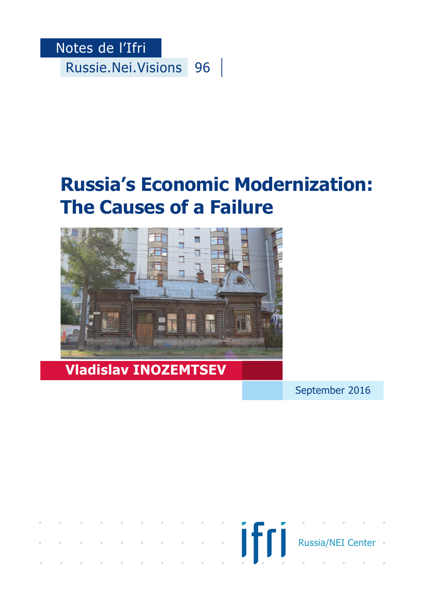

# **Russia's Economic Modernization: The Causes of a Failure**



#### **Vladislav INOZEMTSEV**

September 2016

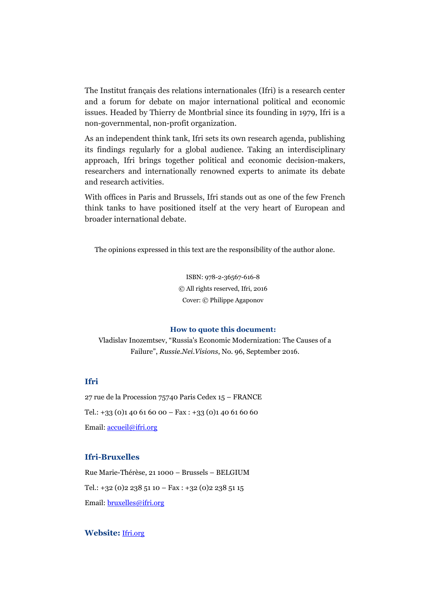The Institut français des relations internationales (Ifri) is a research center and a forum for debate on major international political and economic issues. Headed by Thierry de Montbrial since its founding in 1979, Ifri is a non-governmental, non-profit organization.

As an independent think tank, Ifri sets its own research agenda, publishing its findings regularly for a global audience. Taking an interdisciplinary approach, Ifri brings together political and economic decision-makers, researchers and internationally renowned experts to animate its debate and research activities.

With offices in Paris and Brussels, Ifri stands out as one of the few French think tanks to have positioned itself at the very heart of European and broader international debate.

The opinions expressed in this text are the responsibility of the author alone.

ISBN: 978-2-36567-616-8 © All rights reserved, Ifri, 2016 Cover: © Philippe Agaponov

#### **How to quote this document:**

Vladislav Inozemtsev, "Russia's Economic Modernization: The Causes of a Failure", *Russie.Nei.Visions*, No. 96, September 2016.

#### **Ifri**

27 rue de la Procession 75740 Paris Cedex 15 – FRANCE Tel.:  $+33$  (0)1 40 61 60 00 – Fax :  $+33$  (0)1 40 61 60 60 Email: [accueil@ifri.org](mailto:accueil@ifri.org)

#### **Ifri-Bruxelles**

Rue Marie-Thérèse, 21 1000 – Brussels – BELGIUM Tel.:  $+32$  (0)2 238 51 10 – Fax :  $+32$  (0)2 238 51 15 Email: [bruxelles@ifri.org](mailto:bruxelles@ifri.org)

#### **Website:** [Ifri.org](https://www.ifri.org/)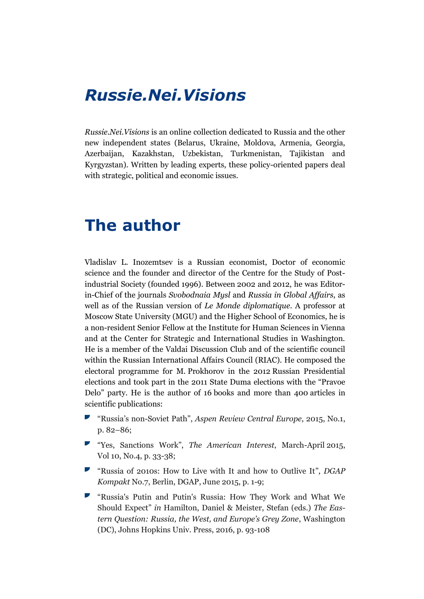### *Russie.Nei.Visions*

*Russie.Nei.Visions* is an online collection dedicated to Russia and the other new independent states (Belarus, Ukraine, Moldova, Armenia, Georgia, Azerbaijan, Kazakhstan, Uzbekistan, Turkmenistan, Tajikistan and Kyrgyzstan). Written by leading experts, these policy-oriented papers deal with strategic, political and economic issues.

#### **The author**

Vladislav L. Inozemtsev is a Russian economist, Doctor of economic science and the founder and director of the Centre for the Study of Postindustrial Society (founded 1996). Between 2002 and 2012, he was Editorin-Chief of the journals *Svobodnaia Mysl* and *Russia in Global Affairs*, as well as of the Russian version of *Le Monde diplomatique*. A professor at Moscow State University (MGU) and the Higher School of Economics, he is a non-resident Senior Fellow at the Institute for Human Sciences in Vienna and at the Center for Strategic and International Studies in Washington. He is a member of the Valdai Discussion Club and of the scientific council within the Russian International Affairs Council (RIAC). He composed the electoral programme for M. Prokhorov in the 2012 Russian Presidential elections and took part in the 2011 State Duma elections with the "Pravoe Delo" party. He is the author of 16 books and more than 400 articles in scientific publications:

- "Russia's non-Soviet Path", *Aspen Review Central Europe*, 2015, No.1, p. 82–86;
- "Yes, Sanctions Work", *The American Interest*, March-April 2015, Vol 10, No.4, p. 33-38;
- "Russia of 2010s: How to Live with It and how to Outlive It", *DGAP Kompakt* No.7, Berlin, DGAP, June 2015, p. 1-9;
- "Russia's Putin and Putin's Russia: How They Work and What We Should Expect" *in* Hamilton, Daniel & Meister, Stefan (eds.) *The Eastern Question: Russia, the West, and Europe's Grey Zone*, Washington (DC), Johns Hopkins Univ. Press, 2016, p. 93-108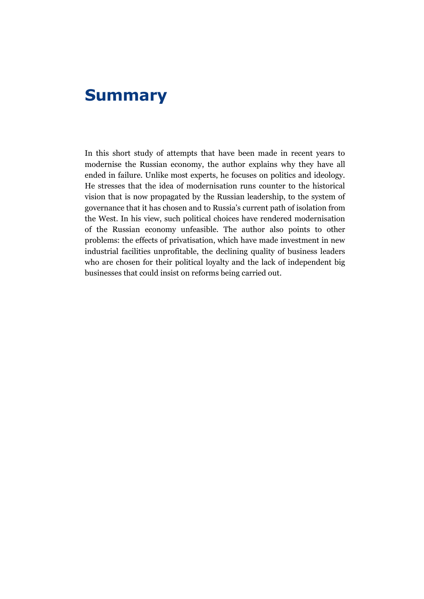#### **Summary**

In this short study of attempts that have been made in recent years to modernise the Russian economy, the author explains why they have all ended in failure. Unlike most experts, he focuses on politics and ideology. He stresses that the idea of modernisation runs counter to the historical vision that is now propagated by the Russian leadership, to the system of governance that it has chosen and to Russia's current path of isolation from the West. In his view, such political choices have rendered modernisation of the Russian economy unfeasible. The author also points to other problems: the effects of privatisation, which have made investment in new industrial facilities unprofitable, the declining quality of business leaders who are chosen for their political loyalty and the lack of independent big businesses that could insist on reforms being carried out.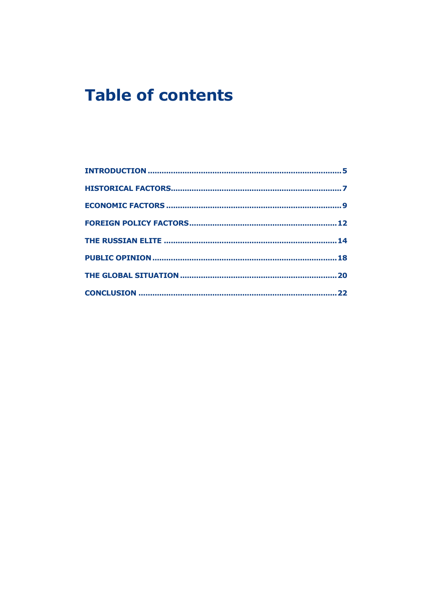## **Table of contents**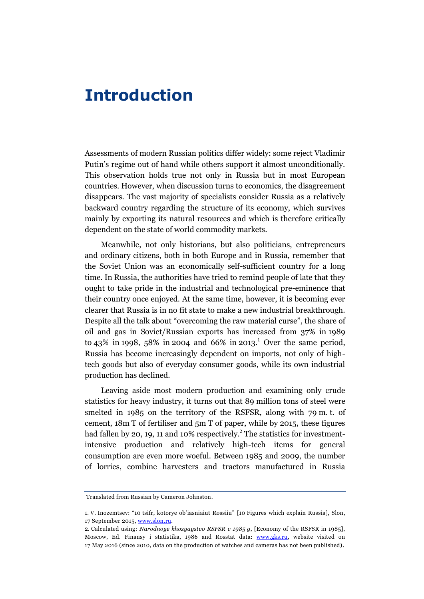#### <span id="page-5-0"></span>**Introduction**

Assessments of modern Russian politics differ widely: some reject Vladimir Putin's regime out of hand while others support it almost unconditionally. This observation holds true not only in Russia but in most European countries. However, when discussion turns to economics, the disagreement disappears. The vast majority of specialists consider Russia as a relatively backward country regarding the structure of its economy, which survives mainly by exporting its natural resources and which is therefore critically dependent on the state of world commodity markets.

Meanwhile, not only historians, but also politicians, entrepreneurs and ordinary citizens, both in both Europe and in Russia, remember that the Soviet Union was an economically self-sufficient country for a long time. In Russia, the authorities have tried to remind people of late that they ought to take pride in the industrial and technological pre-eminence that their country once enjoyed. At the same time, however, it is becoming ever clearer that Russia is in no fit state to make a new industrial breakthrough. Despite all the talk about "overcoming the raw material curse", the share of oil and gas in Soviet/Russian exports has increased from 37% in 1989 to 43% in 1998, 58% in 2004 and 66% in 2013.<sup>1</sup> Over the same period, Russia has become increasingly dependent on imports, not only of hightech goods but also of everyday consumer goods, while its own industrial production has declined.

Leaving aside most modern production and examining only crude statistics for heavy industry, it turns out that 89 million tons of steel were smelted in 1985 on the territory of the RSFSR, along with 79 m. t. of cement, 18m T of fertiliser and 5m T of paper, while by 2015, these figures had fallen by 20, 19, 11 and 10% respectively.<sup>2</sup> The statistics for investmentintensive production and relatively high-tech items for general consumption are even more woeful. Between 1985 and 2009, the number of lorries, combine harvesters and tractors manufactured in Russia

Translated from Russian by Cameron Johnston.

<sup>1.</sup> V. Inozemtsev: "10 tsifr, kotorye ob'iasniaiut Rossiiu" [10 Figures which explain Russia], Slon, 17 September 2015[, www.slon.ru.](http://www.slon.ru/posts/56555) 

<sup>2.</sup> Calculated using: *Narodnoye khozyaystvo RSFSR v 1985 g*, [Economy of the RSFSR in 1985], Moscow, Ed. Finansy i statistika, 1986 and Rosstat data: [www.gks.ru,](http://www.gks.ru/) website visited on 17 May 2016 (since 2010, data on the production of watches and cameras has not been published).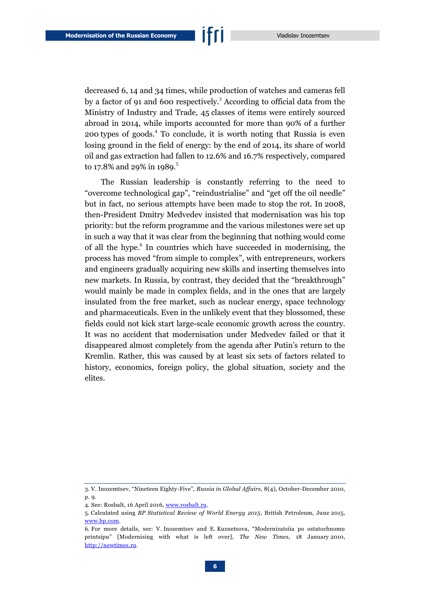decreased 6, 14 and 34 times, while production of watches and cameras fell by a factor of 91 and 600 respectively. <sup>3</sup> According to official data from the Ministry of Industry and Trade, 45 classes of items were entirely sourced abroad in 2014, while imports accounted for more than 90% of a further 200 types of goods.<sup>4</sup> To conclude, it is worth noting that Russia is even losing ground in the field of energy: by the end of 2014, its share of world oil and gas extraction had fallen to 12.6% and 16.7% respectively, compared to 17.8% and 29% in 1989.<sup>5</sup>

The Russian leadership is constantly referring to the need to "overcome technological gap", "reindustrialise" and "get off the oil needle" but in fact, no serious attempts have been made to stop the rot. In 2008, then-President Dmitry Medvedev insisted that modernisation was his top priority: but the reform programme and the various milestones were set up in such a way that it was clear from the beginning that nothing would come of all the hype.<sup>6</sup> In countries which have succeeded in modernising, the process has moved "from simple to complex", with entrepreneurs, workers and engineers gradually acquiring new skills and inserting themselves into new markets. In Russia, by contrast, they decided that the "breakthrough" would mainly be made in complex fields, and in the ones that are largely insulated from the free market, such as nuclear energy, space technology and pharmaceuticals. Even in the unlikely event that they blossomed, these fields could not kick start large-scale economic growth across the country. It was no accident that modernisation under Medvedev failed or that it disappeared almost completely from the agenda after Putin's return to the Kremlin. Rather, this was caused by at least six sets of factors related to history, economics, foreign policy, the global situation, society and the elites.

<sup>3.</sup> V. Inozemtsev, "Nineteen Eighty-Five", *Russia in Global Affairs*, 8(4), October-December 2010, p. 9.

<sup>4.</sup> See: Rosbalt, 16 April 2016[, www.rosbalt.ru.](http://www.rosbalt.ru/)

<sup>5.</sup> Calculated using *BP Statistical Review of World Energy 2015*, British Petroleum, June 2015, [www.bp.com.](https://www.bp.com/content/dam/bp/pdf/energy-economics/statistical-review-2015/bp-statistical-review-of-world-energy-2015-full-report.pdf)

<sup>6.</sup> For more details, see: V. Inozemtsev and E. Kuznetsova, "Modernizatsiia po ostatochnomu printsipu" [Modernising with what is left over], *The New Times*, 18 January 2010, [http://newtimes.ru.](http://newtimes.ru/stati/others/40da8535ccafdf64bca8c8b888e92817-modernuzacuya-po-ostatochnomy-pruncupy.html)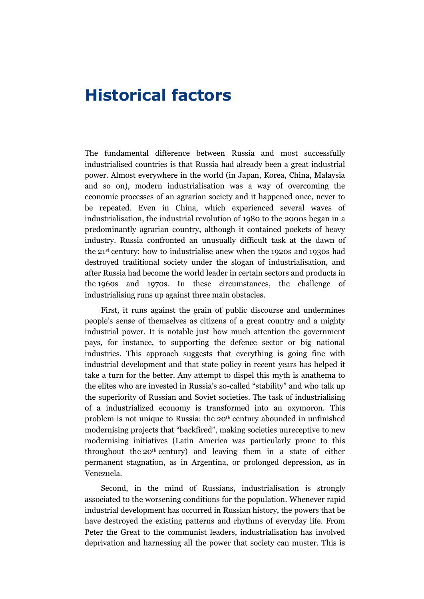### <span id="page-7-0"></span>**Historical factors**

The fundamental difference between Russia and most successfully industrialised countries is that Russia had already been a great industrial power. Almost everywhere in the world (in Japan, Korea, China, Malaysia and so on), modern industrialisation was a way of overcoming the economic processes of an agrarian society and it happened once, never to be repeated. Even in China, which experienced several waves of industrialisation, the industrial revolution of 1980 to the 2000s began in a predominantly agrarian country, although it contained pockets of heavy industry. Russia confronted an unusually difficult task at the dawn of the 21st century: how to industrialise anew when the 1920s and 1930s had destroyed traditional society under the slogan of industrialisation, and after Russia had become the world leader in certain sectors and products in the 1960s and 1970s. In these circumstances, the challenge of industrialising runs up against three main obstacles.

First, it runs against the grain of public discourse and undermines people's sense of themselves as citizens of a great country and a mighty industrial power. It is notable just how much attention the government pays, for instance, to supporting the defence sector or big national industries. This approach suggests that everything is going fine with industrial development and that state policy in recent years has helped it take a turn for the better. Any attempt to dispel this myth is anathema to the elites who are invested in Russia's so-called "stability" and who talk up the superiority of Russian and Soviet societies. The task of industrialising of a industrialized economy is transformed into an oxymoron. This problem is not unique to Russia: the 20th century abounded in unfinished modernising projects that "backfired", making societies unreceptive to new modernising initiatives (Latin America was particularly prone to this throughout the  $20<sup>th</sup>$  century) and leaving them in a state of either permanent stagnation, as in Argentina, or prolonged depression, as in Venezuela.

Second, in the mind of Russians, industrialisation is strongly associated to the worsening conditions for the population. Whenever rapid industrial development has occurred in Russian history, the powers that be have destroyed the existing patterns and rhythms of everyday life. From Peter the Great to the communist leaders, industrialisation has involved deprivation and harnessing all the power that society can muster. This is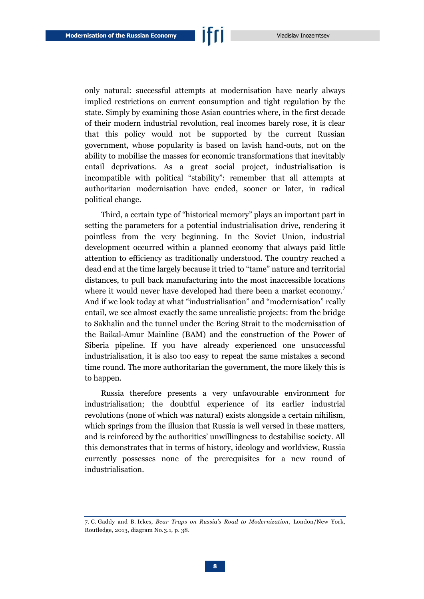only natural: successful attempts at modernisation have nearly always implied restrictions on current consumption and tight regulation by the state. Simply by examining those Asian countries where, in the first decade of their modern industrial revolution, real incomes barely rose, it is clear that this policy would not be supported by the current Russian government, whose popularity is based on lavish hand-outs, not on the ability to mobilise the masses for economic transformations that inevitably entail deprivations. As a great social project, industrialisation is incompatible with political "stability": remember that all attempts at authoritarian modernisation have ended, sooner or later, in radical political change.

Third, a certain type of "historical memory" plays an important part in setting the parameters for a potential industrialisation drive, rendering it pointless from the very beginning. In the Soviet Union, industrial development occurred within a planned economy that always paid little attention to efficiency as traditionally understood. The country reached a dead end at the time largely because it tried to "tame" nature and territorial distances, to pull back manufacturing into the most inaccessible locations where it would never have developed had there been a market economy.<sup>7</sup> And if we look today at what "industrialisation" and "modernisation" really entail, we see almost exactly the same unrealistic projects: from the bridge to Sakhalin and the tunnel under the Bering Strait to the modernisation of the Baikal-Amur Mainline (BAM) and the construction of the Power of Siberia pipeline. If you have already experienced one unsuccessful industrialisation, it is also too easy to repeat the same mistakes a second time round. The more authoritarian the government, the more likely this is to happen.

Russia therefore presents a very unfavourable environment for industrialisation; the doubtful experience of its earlier industrial revolutions (none of which was natural) exists alongside a certain nihilism, which springs from the illusion that Russia is well versed in these matters, and is reinforced by the authorities' unwillingness to destabilise society. All this demonstrates that in terms of history, ideology and worldview, Russia currently possesses none of the prerequisites for a new round of industrialisation.

<sup>7.</sup> C. Gaddy and B. Ickes, *Bear Traps on Russia's Road to Modernization*, London/New York, Routledge, 2013, diagram No.3.1, p. 38.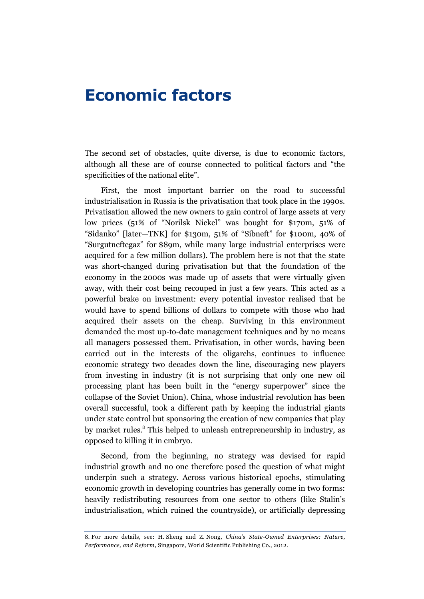#### <span id="page-9-0"></span>**Economic factors**

The second set of obstacles, quite diverse, is due to economic factors, although all these are of course connected to political factors and "the specificities of the national elite".

First, the most important barrier on the road to successful industrialisation in Russia is the privatisation that took place in the 1990s. Privatisation allowed the new owners to gain control of large assets at very low prices (51% of "Norilsk Nickel" was bought for \$170m, 51% of "Sidanko" [later—TNK] for \$130m, 51% of "Sibneft" for \$100m, 40% of "Surgutneftegaz" for \$89m, while many large industrial enterprises were acquired for a few million dollars). The problem here is not that the state was short-changed during privatisation but that the foundation of the economy in the 2000s was made up of assets that were virtually given away, with their cost being recouped in just a few years. This acted as a powerful brake on investment: every potential investor realised that he would have to spend billions of dollars to compete with those who had acquired their assets on the cheap. Surviving in this environment demanded the most up-to-date management techniques and by no means all managers possessed them. Privatisation, in other words, having been carried out in the interests of the oligarchs, continues to influence economic strategy two decades down the line, discouraging new players from investing in industry (it is not surprising that only one new oil processing plant has been built in the "energy superpower" since the collapse of the Soviet Union). China, whose industrial revolution has been overall successful, took a different path by keeping the industrial giants under state control but sponsoring the creation of new companies that play by market rules.<sup>8</sup> This helped to unleash entrepreneurship in industry, as opposed to killing it in embryo.

Second, from the beginning, no strategy was devised for rapid industrial growth and no one therefore posed the question of what might underpin such a strategy. Across various historical epochs, stimulating economic growth in developing countries has generally come in two forms: heavily redistributing resources from one sector to others (like Stalin's industrialisation, which ruined the countryside), or artificially depressing

<sup>8.</sup> For more details, see: H. Sheng and Z. Nong, *China's State-Owned Enterprises: Nature, Performance, and Reform*, Singapore, World Scientific Publishing Co., 2012.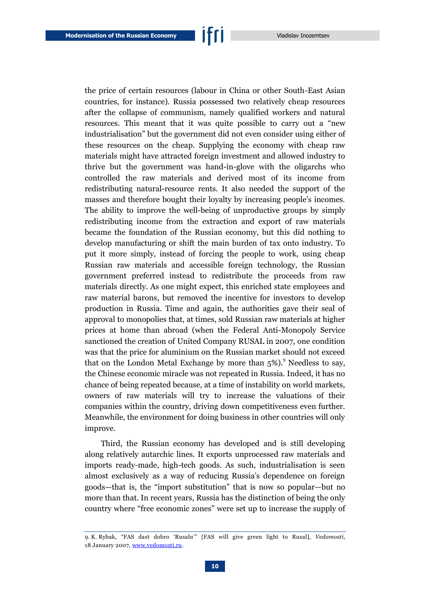the price of certain resources (labour in China or other South-East Asian countries, for instance). Russia possessed two relatively cheap resources after the collapse of communism, namely qualified workers and natural resources. This meant that it was quite possible to carry out a "new industrialisation" but the government did not even consider using either of these resources on the cheap. Supplying the economy with cheap raw materials might have attracted foreign investment and allowed industry to thrive but the government was hand-in-glove with the oligarchs who controlled the raw materials and derived most of its income from redistributing natural-resource rents. It also needed the support of the masses and therefore bought their loyalty by increasing people's incomes. The ability to improve the well-being of unproductive groups by simply redistributing income from the extraction and export of raw materials became the foundation of the Russian economy, but this did nothing to develop manufacturing or shift the main burden of tax onto industry. To put it more simply, instead of forcing the people to work, using cheap Russian raw materials and accessible foreign technology, the Russian government preferred instead to redistribute the proceeds from raw materials directly. As one might expect, this enriched state employees and raw material barons, but removed the incentive for investors to develop production in Russia. Time and again, the authorities gave their seal of approval to monopolies that, at times, sold Russian raw materials at higher prices at home than abroad (when the Federal Anti-Monopoly Service sanctioned the creation of United Company RUSAL in 2007, one condition was that the price for aluminium on the Russian market should not exceed that on the London Metal Exchange by more than  $5\%$ . Needless to say, the Chinese economic miracle was not repeated in Russia. Indeed, it has no chance of being repeated because, at a time of instability on world markets, owners of raw materials will try to increase the valuations of their companies within the country, driving down competitiveness even further. Meanwhile, the environment for doing business in other countries will only improve.

Third, the Russian economy has developed and is still developing along relatively autarchic lines. It exports unprocessed raw materials and imports ready-made, high-tech goods. As such, industrialisation is seen almost exclusively as a way of reducing Russia's dependence on foreign goods—that is, the "import substitution" that is now so popular—but no more than that. In recent years, Russia has the distinction of being the only country where "free economic zones" were set up to increase the supply of

<sup>9.</sup> K. Rybak, "FAS dast dobro 'Rusalu'" [FAS will give green light to Rusal], *Vedomosti*, 18 January 2007[, www.vedomosti.ru.](http://www.vedomosti.ru/newspaper/articles/2007/01/18/fas-dast-dobro-rusalu)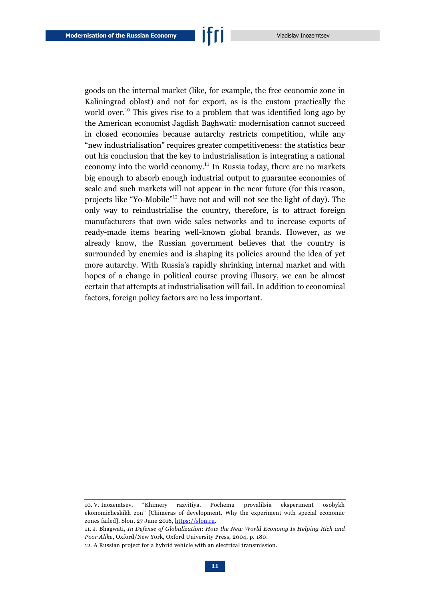goods on the internal market (like, for example, the free economic zone in Kaliningrad oblast) and not for export, as is the custom practically the world over.<sup>10</sup> This gives rise to a problem that was identified long ago by the American economist Jagdish Baghwati: modernisation cannot succeed in closed economies because autarchy restricts competition, while any "new industrialisation" requires greater competitiveness: the statistics bear out his conclusion that the key to industrialisation is integrating a national economy into the world economy.<sup>11</sup> In Russia today, there are no markets big enough to absorb enough industrial output to guarantee economies of scale and such markets will not appear in the near future (for this reason, projects like "Yo-Mobile"<sup>12</sup> have not and will not see the light of day). The only way to reindustrialise the country, therefore, is to attract foreign manufacturers that own wide sales networks and to increase exports of ready-made items bearing well-known global brands. However, as we already know, the Russian government believes that the country is

surrounded by enemies and is shaping its policies around the idea of yet more autarchy. With Russia's rapidly shrinking internal market and with hopes of a change in political course proving illusory, we can be almost certain that attempts at industrialisation will fail. In addition to economical factors, foreign policy factors are no less important.

<sup>10.</sup> V. Inozemtsev, "Khimery razvitiya. Pochemu provalilsia eksperiment osobykh ekonomicheskikh zon" [Chimeras of development. Why the experiment with special economic zones failed], Slon, 27 June 2016[, https://slon.ru.](https://slon.ru/posts/69600)

<sup>11.</sup> J. Bhagwati, *In Defense of Globalization*: *How the New World Economy Is Helping Rich and Poor Alike*, Oxford/New York, Oxford University Press, 2004, p. 180.

<sup>12.</sup> A Russian project for a hybrid vehicle with an electrical transmission.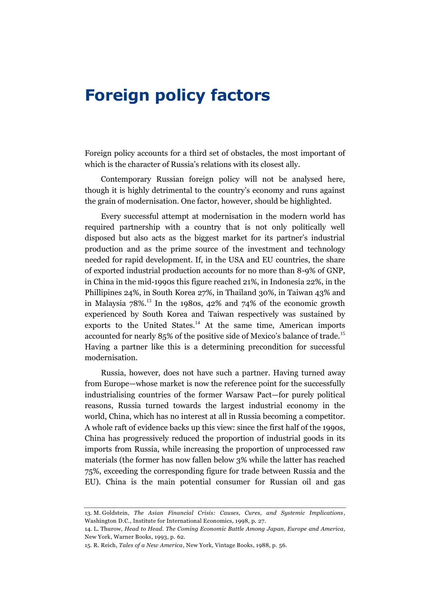#### <span id="page-12-0"></span>**Foreign policy factors**

Foreign policy accounts for a third set of obstacles, the most important of which is the character of Russia's relations with its closest ally.

Contemporary Russian foreign policy will not be analysed here, though it is highly detrimental to the country's economy and runs against the grain of modernisation. One factor, however, should be highlighted.

Every successful attempt at modernisation in the modern world has required partnership with a country that is not only politically well disposed but also acts as the biggest market for its partner's industrial production and as the prime source of the investment and technology needed for rapid development. If, in the USA and EU countries, the share of exported industrial production accounts for no more than 8-9% of GNP, in China in the mid-1990s this figure reached 21%, in Indonesia 22%, in the Phillipines 24%, in South Korea 27%, in Thailand 30%, in Taiwan 43% and in Malaysia  $78\%$ .<sup>13</sup> In the 1980s, 42% and 74% of the economic growth experienced by South Korea and Taiwan respectively was sustained by exports to the United States. $14$  At the same time, American imports accounted for nearly 85% of the positive side of Mexico's balance of trade.<sup>15</sup> Having a partner like this is a determining precondition for successful modernisation.

Russia, however, does not have such a partner. Having turned away from Europe—whose market is now the reference point for the successfully industrialising countries of the former Warsaw Pact—for purely political reasons, Russia turned towards the largest industrial economy in the world, China, which has no interest at all in Russia becoming a competitor. A whole raft of evidence backs up this view: since the first half of the 1990s, China has progressively reduced the proportion of industrial goods in its imports from Russia, while increasing the proportion of unprocessed raw materials (the former has now fallen below 3% while the latter has reached 75%, exceeding the corresponding figure for trade between Russia and the EU). China is the main potential consumer for Russian oil and gas

<sup>13.</sup> M. Goldstein, *The Asian Financial Crisis: Causes, Cures, and Systemic Implications*, Washington D.C., Institute for International Economics, 1998, p. 27.

<sup>14.</sup> L. Thurow, *Head to Head. The Coming Economic Battle Among Japan, Europe and America*, New York, Warner Books, 1993, p. 62.

<sup>15.</sup> R. Reich, *Tales of a New America*, New York, Vintage Books, 1988, p. 56.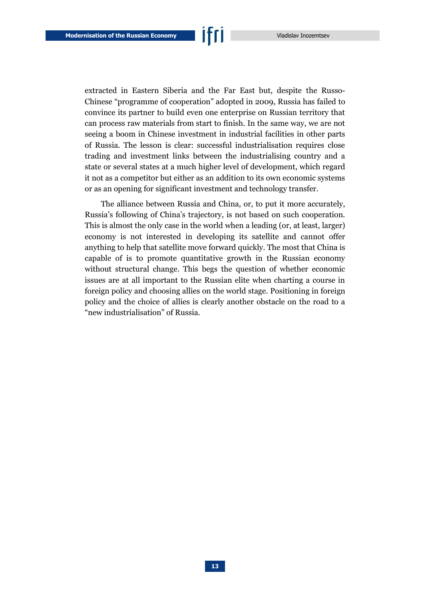extracted in Eastern Siberia and the Far East but, despite the Russo-Chinese "programme of cooperation" adopted in 2009, Russia has failed to convince its partner to build even one enterprise on Russian territory that can process raw materials from start to finish. In the same way, we are not seeing a boom in Chinese investment in industrial facilities in other parts of Russia. The lesson is clear: successful industrialisation requires close trading and investment links between the industrialising country and a state or several states at a much higher level of development, which regard it not as a competitor but either as an addition to its own economic systems or as an opening for significant investment and technology transfer.

The alliance between Russia and China, or, to put it more accurately, Russia's following of China's trajectory, is not based on such cooperation. This is almost the only case in the world when a leading (or, at least, larger) economy is not interested in developing its satellite and cannot offer anything to help that satellite move forward quickly. The most that China is capable of is to promote quantitative growth in the Russian economy without structural change. This begs the question of whether economic issues are at all important to the Russian elite when charting a course in foreign policy and choosing allies on the world stage. Positioning in foreign policy and the choice of allies is clearly another obstacle on the road to a "new industrialisation" of Russia.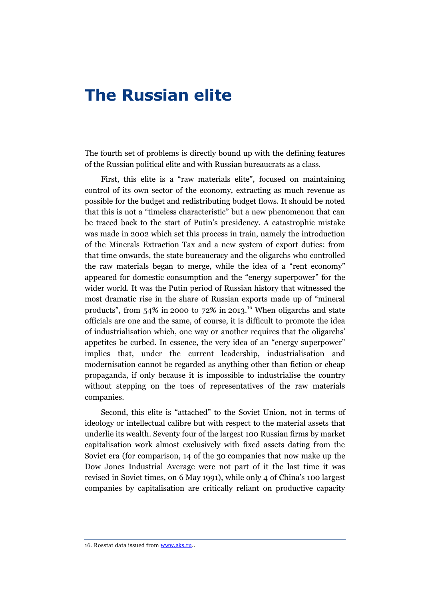### <span id="page-14-0"></span>**The Russian elite**

The fourth set of problems is directly bound up with the defining features of the Russian political elite and with Russian bureaucrats as a class.

First, this elite is a "raw materials elite", focused on maintaining control of its own sector of the economy, extracting as much revenue as possible for the budget and redistributing budget flows. It should be noted that this is not a "timeless characteristic" but a new phenomenon that can be traced back to the start of Putin's presidency. A catastrophic mistake was made in 2002 which set this process in train, namely the introduction of the Minerals Extraction Tax and a new system of export duties: from that time onwards, the state bureaucracy and the oligarchs who controlled the raw materials began to merge, while the idea of a "rent economy" appeared for domestic consumption and the "energy superpower" for the wider world. It was the Putin period of Russian history that witnessed the most dramatic rise in the share of Russian exports made up of "mineral products", from  $54\%$  in 2000 to  $72\%$  in 2013.<sup>16</sup> When oligarchs and state officials are one and the same, of course, it is difficult to promote the idea of industrialisation which, one way or another requires that the oligarchs' appetites be curbed. In essence, the very idea of an "energy superpower" implies that, under the current leadership, industrialisation and modernisation cannot be regarded as anything other than fiction or cheap propaganda, if only because it is impossible to industrialise the country without stepping on the toes of representatives of the raw materials companies.

Second, this elite is "attached" to the Soviet Union, not in terms of ideology or intellectual calibre but with respect to the material assets that underlie its wealth. Seventy four of the largest 100 Russian firms by market capitalisation work almost exclusively with fixed assets dating from the Soviet era (for comparison, 14 of the 30 companies that now make up the Dow Jones Industrial Average were not part of it the last time it was revised in Soviet times, on 6 May 1991), while only 4 of China's 100 largest companies by capitalisation are critically reliant on productive capacity

<sup>16.</sup> Rosstat data issued from [www.gks.ru..](http://www.gks.ru/)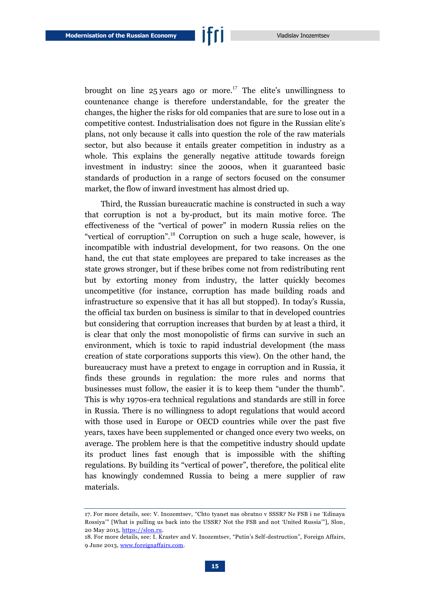brought on line 25 years ago or more.<sup>17</sup> The elite's unwillingness to countenance change is therefore understandable, for the greater the changes, the higher the risks for old companies that are sure to lose out in a competitive contest. Industrialisation does not figure in the Russian elite's plans, not only because it calls into question the role of the raw materials sector, but also because it entails greater competition in industry as a whole. This explains the generally negative attitude towards foreign investment in industry: since the 2000s, when it guaranteed basic standards of production in a range of sectors focused on the consumer market, the flow of inward investment has almost dried up.

Third, the Russian bureaucratic machine is constructed in such a way that corruption is not a by-product, but its main motive force. The effectiveness of the "vertical of power" in modern Russia relies on the "vertical of corruption".<sup>18</sup> Corruption on such a huge scale, however, is incompatible with industrial development, for two reasons. On the one hand, the cut that state employees are prepared to take increases as the state grows stronger, but if these bribes come not from redistributing rent but by extorting money from industry, the latter quickly becomes uncompetitive (for instance, corruption has made building roads and infrastructure so expensive that it has all but stopped). In today's Russia, the official tax burden on business is similar to that in developed countries but considering that corruption increases that burden by at least a third, it is clear that only the most monopolistic of firms can survive in such an environment, which is toxic to rapid industrial development (the mass creation of state corporations supports this view). On the other hand, the bureaucracy must have a pretext to engage in corruption and in Russia, it finds these grounds in regulation: the more rules and norms that businesses must follow, the easier it is to keep them "under the thumb". This is why 1970s-era technical regulations and standards are still in force in Russia. There is no willingness to adopt regulations that would accord with those used in Europe or OECD countries while over the past five years, taxes have been supplemented or changed once every two weeks, on average. The problem here is that the competitive industry should update its product lines fast enough that is impossible with the shifting regulations. By building its "vertical of power", therefore, the political elite has knowingly condemned Russia to being a mere supplier of raw materials.

<sup>17.</sup> For more details, see: V. Inozemtsev, "Chto tyanet nas obratno v SSSR? Ne FSB i ne 'Edinaya Rossiya'" [What is pulling us back into the USSR? Not the FSB and not 'United Russia'"], Slon, 20 May 2015[, https://slon.ru.](https://slon.ru/posts/51710)

<sup>18.</sup> For more details, see: I. Krastev and V. Inozemtsev, "Putin's Self-destruction", Foreign Affairs, 9 June 2013[, www.foreignaffairs.com.](http://www.foreignaffairs.com/articles/139442/ivan-krastev-and-vladislav-inozemtsev/putins-self-destruction)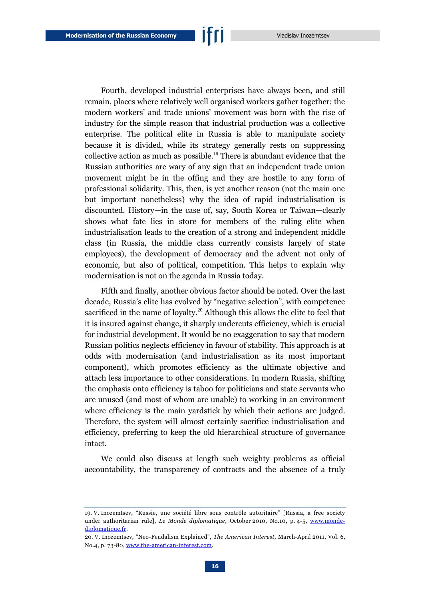Fourth, developed industrial enterprises have always been, and still remain, places where relatively well organised workers gather together: the modern workers' and trade unions' movement was born with the rise of industry for the simple reason that industrial production was a collective enterprise. The political elite in Russia is able to manipulate society because it is divided, while its strategy generally rests on suppressing collective action as much as possible.<sup>19</sup> There is abundant evidence that the Russian authorities are wary of any sign that an independent trade union movement might be in the offing and they are hostile to any form of professional solidarity. This, then, is yet another reason (not the main one but important nonetheless) why the idea of rapid industrialisation is discounted. History—in the case of, say, South Korea or Taiwan—clearly shows what fate lies in store for members of the ruling elite when industrialisation leads to the creation of a strong and independent middle class (in Russia, the middle class currently consists largely of state employees), the development of democracy and the advent not only of economic, but also of political, competition. This helps to explain why modernisation is not on the agenda in Russia today.

Fifth and finally, another obvious factor should be noted. Over the last decade, Russia's elite has evolved by "negative selection", with competence sacrificed in the name of loyalty.<sup>20</sup> Although this allows the elite to feel that it is insured against change, it sharply undercuts efficiency, which is crucial for industrial development. It would be no exaggeration to say that modern Russian politics neglects efficiency in favour of stability. This approach is at odds with modernisation (and industrialisation as its most important component), which promotes efficiency as the ultimate objective and attach less importance to other considerations. In modern Russia, shifting the emphasis onto efficiency is taboo for politicians and state servants who are unused (and most of whom are unable) to working in an environment where efficiency is the main yardstick by which their actions are judged. Therefore, the system will almost certainly sacrifice industrialisation and efficiency, preferring to keep the old hierarchical structure of governance intact.

We could also discuss at length such weighty problems as official accountability, the transparency of contracts and the absence of a truly

<sup>19.</sup> V. Inozemtsev, "Russie, une société libre sous contrôle autoritaire" [Russia, a free society under authoritarian rule], *Le Monde diplomatique*, October 2010, No.10, p. 4-5, [www.monde](https://www.monde-diplomatique.fr/2010/10/INOZEMTSEV/19776)[diplomatique.fr.](https://www.monde-diplomatique.fr/2010/10/INOZEMTSEV/19776)

<sup>20.</sup> V. Inozemtsev, "Neo-Feudalism Explained", *The American Interest*, March-April 2011, Vol. 6, No.4, p. 73-80[, www.the-american-interest.com.](http://www.the-american-interest.com/2011/03/01/neo-feudalism-explained/)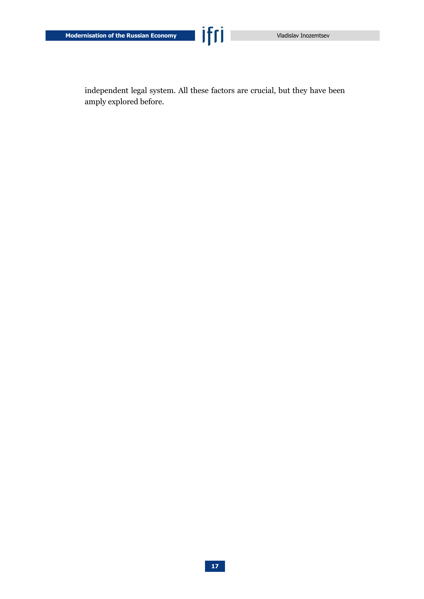independent legal system. All these factors are crucial, but they have been amply explored before.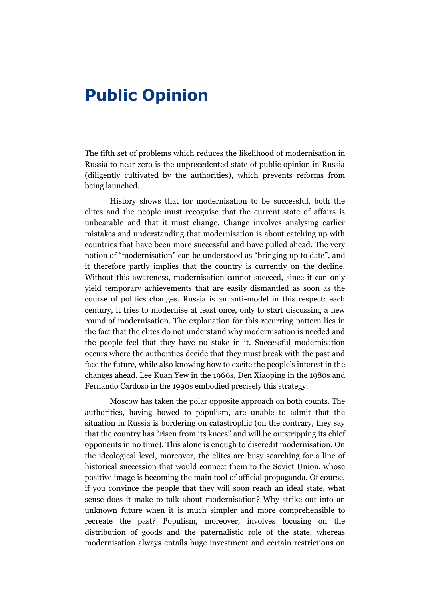#### <span id="page-18-0"></span>**Public Opinion**

The fifth set of problems which reduces the likelihood of modernisation in Russia to near zero is the unprecedented state of public opinion in Russia (diligently cultivated by the authorities), which prevents reforms from being launched.

History shows that for modernisation to be successful, both the elites and the people must recognise that the current state of affairs is unbearable and that it must change. Change involves analysing earlier mistakes and understanding that modernisation is about catching up with countries that have been more successful and have pulled ahead. The very notion of "modernisation" can be understood as "bringing up to date", and it therefore partly implies that the country is currently on the decline. Without this awareness, modernisation cannot succeed, since it can only yield temporary achievements that are easily dismantled as soon as the course of politics changes. Russia is an anti-model in this respect: each century, it tries to modernise at least once, only to start discussing a new round of modernisation. The explanation for this recurring pattern lies in the fact that the elites do not understand why modernisation is needed and the people feel that they have no stake in it. Successful modernisation occurs where the authorities decide that they must break with the past and face the future, while also knowing how to excite the people's interest in the changes ahead. Lee Kuan Yew in the 1960s, Den Xiaoping in the 1980s and Fernando Cardoso in the 1990s embodied precisely this strategy.

Moscow has taken the polar opposite approach on both counts. The authorities, having bowed to populism, are unable to admit that the situation in Russia is bordering on catastrophic (on the contrary, they say that the country has "risen from its knees" and will be outstripping its chief opponents in no time). This alone is enough to discredit modernisation. On the ideological level, moreover, the elites are busy searching for a line of historical succession that would connect them to the Soviet Union, whose positive image is becoming the main tool of official propaganda. Of course, if you convince the people that they will soon reach an ideal state, what sense does it make to talk about modernisation? Why strike out into an unknown future when it is much simpler and more comprehensible to recreate the past? Populism, moreover, involves focusing on the distribution of goods and the paternalistic role of the state, whereas modernisation always entails huge investment and certain restrictions on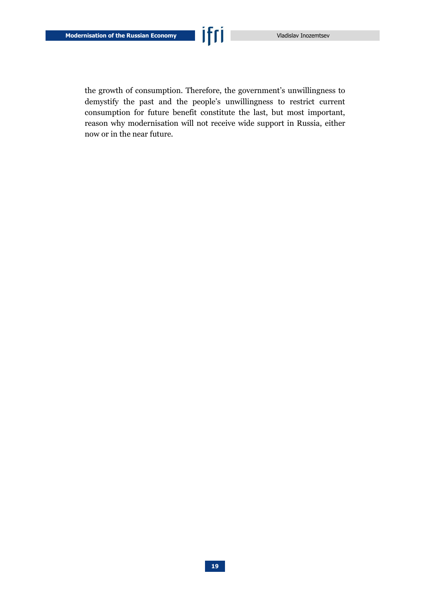the growth of consumption. Therefore, the government's unwillingness to demystify the past and the people's unwillingness to restrict current consumption for future benefit constitute the last, but most important, reason why modernisation will not receive wide support in Russia, either now or in the near future.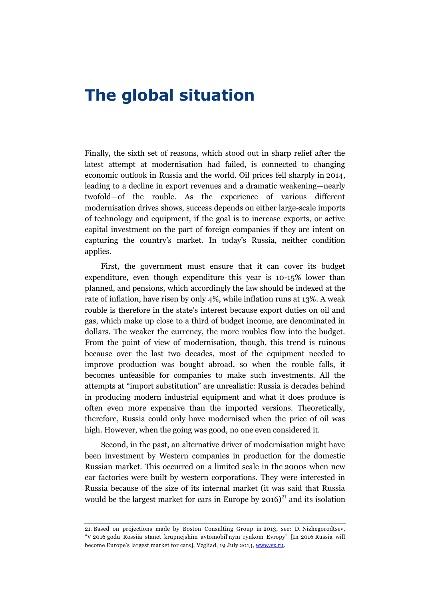### <span id="page-20-0"></span>**The global situation**

Finally, the sixth set of reasons, which stood out in sharp relief after the latest attempt at modernisation had failed, is connected to changing economic outlook in Russia and the world. Oil prices fell sharply in 2014, leading to a decline in export revenues and a dramatic weakening—nearly twofold—of the rouble. As the experience of various different modernisation drives shows, success depends on either large-scale imports of technology and equipment, if the goal is to increase exports, or active capital investment on the part of foreign companies if they are intent on capturing the country's market. In today's Russia, neither condition applies.

First, the government must ensure that it can cover its budget expenditure, even though expenditure this year is 10-15% lower than planned, and pensions, which accordingly the law should be indexed at the rate of inflation, have risen by only 4%, while inflation runs at 13%. A weak rouble is therefore in the state's interest because export duties on oil and gas, which make up close to a third of budget income, are denominated in dollars. The weaker the currency, the more roubles flow into the budget. From the point of view of modernisation, though, this trend is ruinous because over the last two decades, most of the equipment needed to improve production was bought abroad, so when the rouble falls, it becomes unfeasible for companies to make such investments. All the attempts at "import substitution" are unrealistic: Russia is decades behind in producing modern industrial equipment and what it does produce is often even more expensive than the imported versions. Theoretically, therefore, Russia could only have modernised when the price of oil was high. However, when the going was good, no one even considered it.

Second, in the past, an alternative driver of modernisation might have been investment by Western companies in production for the domestic Russian market. This occurred on a limited scale in the 2000s when new car factories were built by western corporations. They were interested in Russia because of the size of its internal market (it was said that Russia would be the largest market for cars in Europe by  $2016$ <sup>21</sup> and its isolation

<sup>21.</sup> Based on projections made by Boston Consulting Group in 2013, see: D. Nizhegorodtsev, "V 2016 godu Rossiia stanet krupnejshim avtomobil'nym rynkom Evropy" [In 2016 Russia will become Europe's largest market for cars], Vzgliad, 19 July 2013, [www.vz.ru.](http://www.vz.ru/news/2013/7/19/641957.html)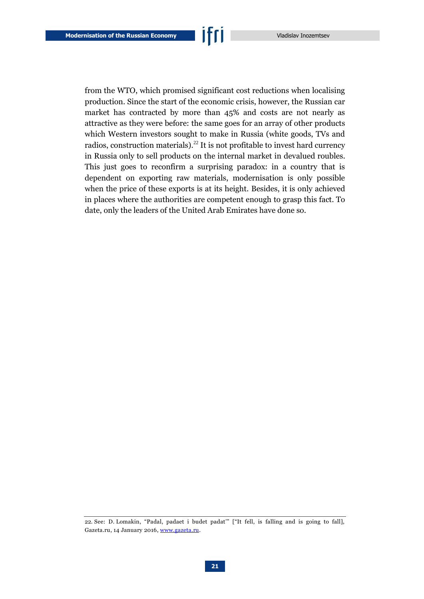from the WTO, which promised significant cost reductions when localising production. Since the start of the economic crisis, however, the Russian car market has contracted by more than 45% and costs are not nearly as attractive as they were before: the same goes for an array of other products which Western investors sought to make in Russia (white goods, TVs and radios, construction materials).<sup>22</sup> It is not profitable to invest hard currency in Russia only to sell products on the internal market in devalued roubles. This just goes to reconfirm a surprising paradox: in a country that is dependent on exporting raw materials, modernisation is only possible when the price of these exports is at its height. Besides, it is only achieved in places where the authorities are competent enough to grasp this fact. To date, only the leaders of the United Arab Emirates have done so.

<sup>22.</sup> See: D. Lomakin, "Padal, padaet i budet padat'" ["It fell, is falling and is going to fall], Gazeta.ru, 14 January 2016, [www.gazeta.ru.](http://www.gazeta.ru/auto/2016/01/14_a_8021765.shtml)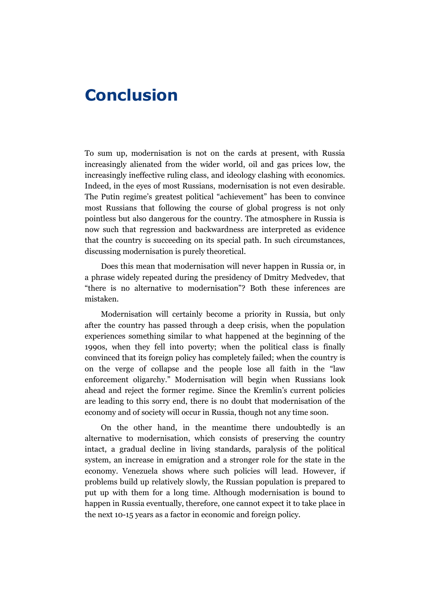### <span id="page-22-0"></span>**Conclusion**

To sum up, modernisation is not on the cards at present, with Russia increasingly alienated from the wider world, oil and gas prices low, the increasingly ineffective ruling class, and ideology clashing with economics. Indeed, in the eyes of most Russians, modernisation is not even desirable. The Putin regime's greatest political "achievement" has been to convince most Russians that following the course of global progress is not only pointless but also dangerous for the country. The atmosphere in Russia is now such that regression and backwardness are interpreted as evidence that the country is succeeding on its special path. In such circumstances, discussing modernisation is purely theoretical.

Does this mean that modernisation will never happen in Russia or, in a phrase widely repeated during the presidency of Dmitry Medvedev, that "there is no alternative to modernisation"? Both these inferences are mistaken.

Modernisation will certainly become a priority in Russia, but only after the country has passed through a deep crisis, when the population experiences something similar to what happened at the beginning of the 1990s, when they fell into poverty; when the political class is finally convinced that its foreign policy has completely failed; when the country is on the verge of collapse and the people lose all faith in the "law enforcement oligarchy." Modernisation will begin when Russians look ahead and reject the former regime. Since the Kremlin's current policies are leading to this sorry end, there is no doubt that modernisation of the economy and of society will occur in Russia, though not any time soon.

On the other hand, in the meantime there undoubtedly is an alternative to modernisation, which consists of preserving the country intact, a gradual decline in living standards, paralysis of the political system, an increase in emigration and a stronger role for the state in the economy. Venezuela shows where such policies will lead. However, if problems build up relatively slowly, the Russian population is prepared to put up with them for a long time. Although modernisation is bound to happen in Russia eventually, therefore, one cannot expect it to take place in the next 10-15 years as a factor in economic and foreign policy.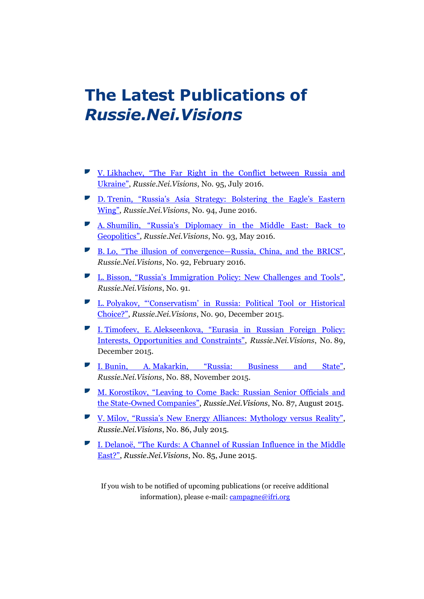### **The Latest Publications of** *Russie.Nei.Visions*

- V. [Likhachev, "The Far Right in the Conflict between Russia and](https://www.ifri.org/en/publications/notes-de-lifri/russieneivisions/far-right-conflict-between-russia-and-ukraine)  [Ukraine"](https://www.ifri.org/en/publications/notes-de-lifri/russieneivisions/far-right-conflict-between-russia-and-ukraine), *Russie.Nei.Visions*, No. 95, July 2016.
- D. [Trenin, "Russia's Asia Strategy: Bolstering the Eagle's Eastern](https://www.ifri.org/sites/default/files/atoms/files/rnv94_uk_russias_asia_strategy.pdf)  [Wing"](https://www.ifri.org/sites/default/files/atoms/files/rnv94_uk_russias_asia_strategy.pdf), *Russie.Nei.Visions*, No. 94, June 2016.
- A. Shumilin, "[Russia's Diplomacy in the Middle East: Back to](https://www.ifri.org/sites/default/files/atoms/files/rnv93_version_uk_final_protege.pdf)  [Geopolitics](https://www.ifri.org/sites/default/files/atoms/files/rnv93_version_uk_final_protege.pdf)", *Russie.Nei.Visions*, No. 93, May 2016.
- B. [Lo, "The illusion of convergence—Russia, China, and the BRICS"](https://www.ifri.org/sites/default/files/atoms/files/ifri_rnv_92_bobo_lo_brics-eng_march_2016_0.pdf), *Russie.Nei.Visions*, No. 92, February 2016.
- L. [Bisson, "Russia's Immigration Policy: New Challenges and Tools"](https://www.ifri.org/sites/default/files/atoms/files/ifri_rnv_91_lioubov_bisson_eng_january_2016_protege.pdf), *Russie.Nei.Visions*, No. 91.
- L. Poly[akov, "'Conservatism' in Russia: Political Tool or Historical](https://www.ifri.org/sites/default/files/atoms/files/ifri_rnv_90_eng_poliakkov_protege.pdf)  [Choice?](https://www.ifri.org/sites/default/files/atoms/files/ifri_rnv_90_eng_poliakkov_protege.pdf)", *Russie.Nei.Visions*, No. 90, December 2015.
- I. Timofeev, E. [Alekseenkova, "Eurasia in Russian Foreign Policy:](http://www.ifri.org/sites/default/files/atoms/files/ifri_rnv_89_timofeev_alexeenkova_eng_december_2015_protege_0.pdf)  [Interests, Opportunities and Constraints"](http://www.ifri.org/sites/default/files/atoms/files/ifri_rnv_89_timofeev_alexeenkova_eng_december_2015_protege_0.pdf), *Russie.Nei.Visions*, No. 89, December 2015.
- I. Bunin, A. [Makarkin, "Russia: Business and State"](http://www.ifri.org/sites/default/files/atoms/files/ifri_rnv_88_bunin_makarkin_eng_november_2015.pdf), *Russie.Nei.Visions*, No. 88, November 2015.
- M. Korostikov, "[Leaving to Come Back: Russian Senior Officials and](https://www.ifri.org/sites/default/files/atoms/files/ifri_rnv_87_eng_mikhail_korostikov_august_2015.pdf)  the State-[Owned Companies"](https://www.ifri.org/sites/default/files/atoms/files/ifri_rnv_87_eng_mikhail_korostikov_august_2015.pdf), *Russie.Nei.Visions*, No. 87, August 2015.
- V. [Milov, "Russia's New Energy Alliances: Mythology versus Reality"](https://www.ifri.org/sites/default/files/atoms/files/ifri_rnv_86-eng_milov_energy_june_2015.pdf), *Russie.Nei.Visions*, No. 86, July 2015.
- I. Delanoë, ["The Kurds: A Channel of Russian Influence in the Middle](http://www.ifri.org/sites/default/files/atoms/files/ifri_rnv_85_ru-igor_delanoe_kurdy_vektor_rossiyskogo_vliyaniya_na_blizhnem_vostoke_iyun_2015.pdf)  [East?](http://www.ifri.org/sites/default/files/atoms/files/ifri_rnv_85_ru-igor_delanoe_kurdy_vektor_rossiyskogo_vliyaniya_na_blizhnem_vostoke_iyun_2015.pdf)", *Russie.Nei.Visions*, No. 85, June 2015.

If you wish to be notified of upcoming publications (or receive additional information), please e-mail[: campagne@ifri.org](mailto:campagne@ifri.org)